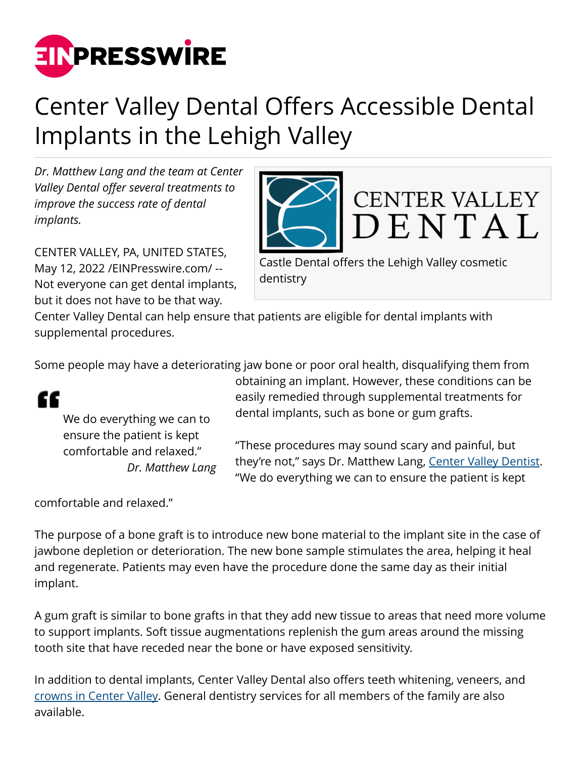

## Center Valley Dental Offers Accessible Dental Implants in the Lehigh Valley

*Dr. Matthew Lang and the team at Center Valley Dental offer several treatments to improve the success rate of dental implants.* 

CENTER VALLEY, PA, UNITED STATES, May 12, 2022 [/EINPresswire.com](http://www.einpresswire.com)/ -- Not everyone can get dental implants, but it does not have to be that way.

DENTAL Castle Dental offers the Lehigh Valley cosmetic dentistry

**CENTER VALLEY** 

Center Valley Dental can help ensure that patients are eligible for dental implants with supplemental procedures.

Some people may have a deteriorating jaw bone or poor oral health, disqualifying them from



We do everything we can to ensure the patient is kept comfortable and relaxed." *Dr. Matthew Lang* obtaining an implant. However, these conditions can be easily remedied through supplemental treatments for dental implants, such as bone or gum grafts.

"These procedures may sound scary and painful, but they're not," says Dr. Matthew Lang, [Center Valley Dentist](https://centervalleydental.com/). "We do everything we can to ensure the patient is kept

comfortable and relaxed."

The purpose of a bone graft is to introduce new bone material to the implant site in the case of jawbone depletion or deterioration. The new bone sample stimulates the area, helping it heal and regenerate. Patients may even have the procedure done the same day as their initial implant.

A gum graft is similar to bone grafts in that they add new tissue to areas that need more volume to support implants. Soft tissue augmentations replenish the gum areas around the missing tooth site that have receded near the bone or have exposed sensitivity.

In addition to dental implants, Center Valley Dental also offers teeth whitening, veneers, and [crowns in Center Valley](https://centervalleydental.com/single-visit-crowns/). General dentistry services for all members of the family are also available.